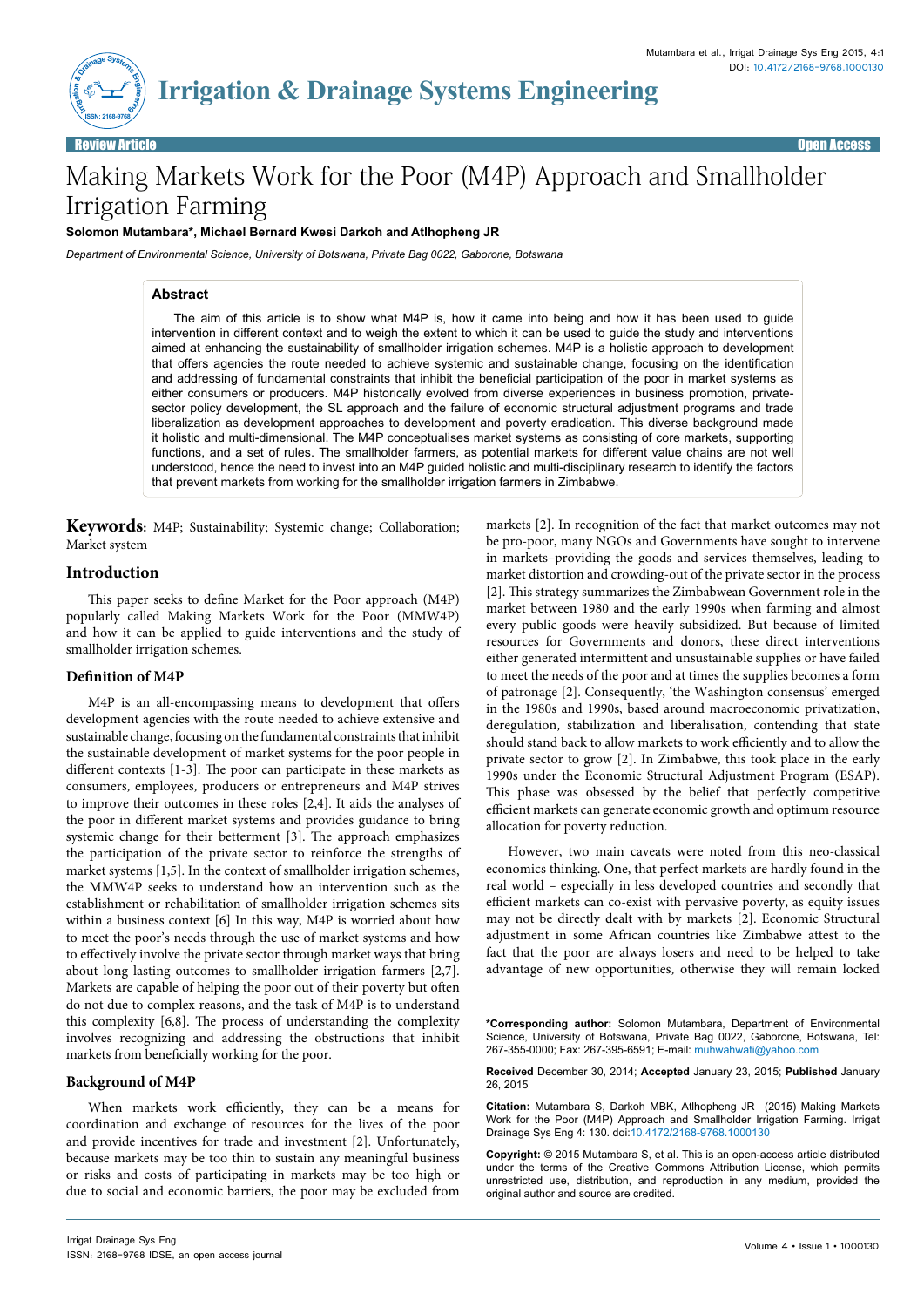

# Making Markets Work for the Poor (M4P) Approach and Smallholder Irrigation Farming

**Solomon Mutambara\*, Michael Bernard Kwesi Darkoh and Atlhopheng JR** 

*Department of Environmental Science, University of Botswana, Private Bag 0022, Gaborone, Botswana*

### **Abstract**

The aim of this article is to show what M4P is, how it came into being and how it has been used to guide intervention in different context and to weigh the extent to which it can be used to guide the study and interventions aimed at enhancing the sustainability of smallholder irrigation schemes. M4P is a holistic approach to development that offers agencies the route needed to achieve systemic and sustainable change, focusing on the identification and addressing of fundamental constraints that inhibit the beneficial participation of the poor in market systems as either consumers or producers. M4P historically evolved from diverse experiences in business promotion, privatesector policy development, the SL approach and the failure of economic structural adjustment programs and trade liberalization as development approaches to development and poverty eradication. This diverse background made it holistic and multi-dimensional. The M4P conceptualises market systems as consisting of core markets, supporting functions, and a set of rules. The smallholder farmers, as potential markets for different value chains are not well understood, hence the need to invest into an M4P guided holistic and multi-disciplinary research to identify the factors that prevent markets from working for the smallholder irrigation farmers in Zimbabwe.

**Keywords:** M4P; Sustainability; Systemic change; Collaboration; Market system

## **Introduction**

This paper seeks to define Market for the Poor approach (M4P) popularly called Making Markets Work for the Poor (MMW4P) and how it can be applied to guide interventions and the study of smallholder irrigation schemes.

#### **Definition of M4P**

M4P is an all-encompassing means to development that offers development agencies with the route needed to achieve extensive and sustainable change, focusing on the fundamental constraints that inhibit the sustainable development of market systems for the poor people in different contexts [1-3]. The poor can participate in these markets as consumers, employees, producers or entrepreneurs and M4P strives to improve their outcomes in these roles [2,4]. It aids the analyses of the poor in different market systems and provides guidance to bring systemic change for their betterment [3]. The approach emphasizes the participation of the private sector to reinforce the strengths of market systems [1,5]. In the context of smallholder irrigation schemes, the MMW4P seeks to understand how an intervention such as the establishment or rehabilitation of smallholder irrigation schemes sits within a business context [6] In this way, M4P is worried about how to meet the poor's needs through the use of market systems and how to effectively involve the private sector through market ways that bring about long lasting outcomes to smallholder irrigation farmers [2,7]. Markets are capable of helping the poor out of their poverty but often do not due to complex reasons, and the task of M4P is to understand this complexity [6,8]. The process of understanding the complexity involves recognizing and addressing the obstructions that inhibit markets from beneficially working for the poor.

## **Background of M4P**

When markets work efficiently, they can be a means for coordination and exchange of resources for the lives of the poor and provide incentives for trade and investment [2]. Unfortunately, because markets may be too thin to sustain any meaningful business or risks and costs of participating in markets may be too high or due to social and economic barriers, the poor may be excluded from markets [2]. In recognition of the fact that market outcomes may not be pro-poor, many NGOs and Governments have sought to intervene in markets–providing the goods and services themselves, leading to market distortion and crowding-out of the private sector in the process [2]. This strategy summarizes the Zimbabwean Government role in the market between 1980 and the early 1990s when farming and almost every public goods were heavily subsidized. But because of limited resources for Governments and donors, these direct interventions either generated intermittent and unsustainable supplies or have failed to meet the needs of the poor and at times the supplies becomes a form of patronage [2]. Consequently, 'the Washington consensus' emerged in the 1980s and 1990s, based around macroeconomic privatization, deregulation, stabilization and liberalisation, contending that state should stand back to allow markets to work efficiently and to allow the private sector to grow [2]. In Zimbabwe, this took place in the early 1990s under the Economic Structural Adjustment Program (ESAP). This phase was obsessed by the belief that perfectly competitive efficient markets can generate economic growth and optimum resource allocation for poverty reduction.

However, two main caveats were noted from this neo-classical economics thinking. One, that perfect markets are hardly found in the real world – especially in less developed countries and secondly that efficient markets can co-exist with pervasive poverty, as equity issues may not be directly dealt with by markets [2]. Economic Structural adjustment in some African countries like Zimbabwe attest to the fact that the poor are always losers and need to be helped to take advantage of new opportunities, otherwise they will remain locked

**\*Corresponding author:** Solomon Mutambara, Department of Environmental Science, University of Botswana, Private Bag 0022, Gaborone, Botswana, Tel: 267-355-0000; Fax: 267-395-6591; E-mail: muhwahwati@yahoo.com

**Received** December 30, 2014; **Accepted** January 23, 2015; **Published** January 26, 2015

**Citation:** Mutambara S, Darkoh MBK, Atlhopheng JR (2015) Making Markets Work for the Poor (M4P) Approach and Smallholder Irrigation Farming. Irrigat Drainage Sys Eng 4: 130. doi:10.4172/2168-9768.1000130

**Copyright:** © 2015 Mutambara S, et al. This is an open-access article distributed under the terms of the Creative Commons Attribution License, which permits unrestricted use, distribution, and reproduction in any medium, provided the original author and source are credited.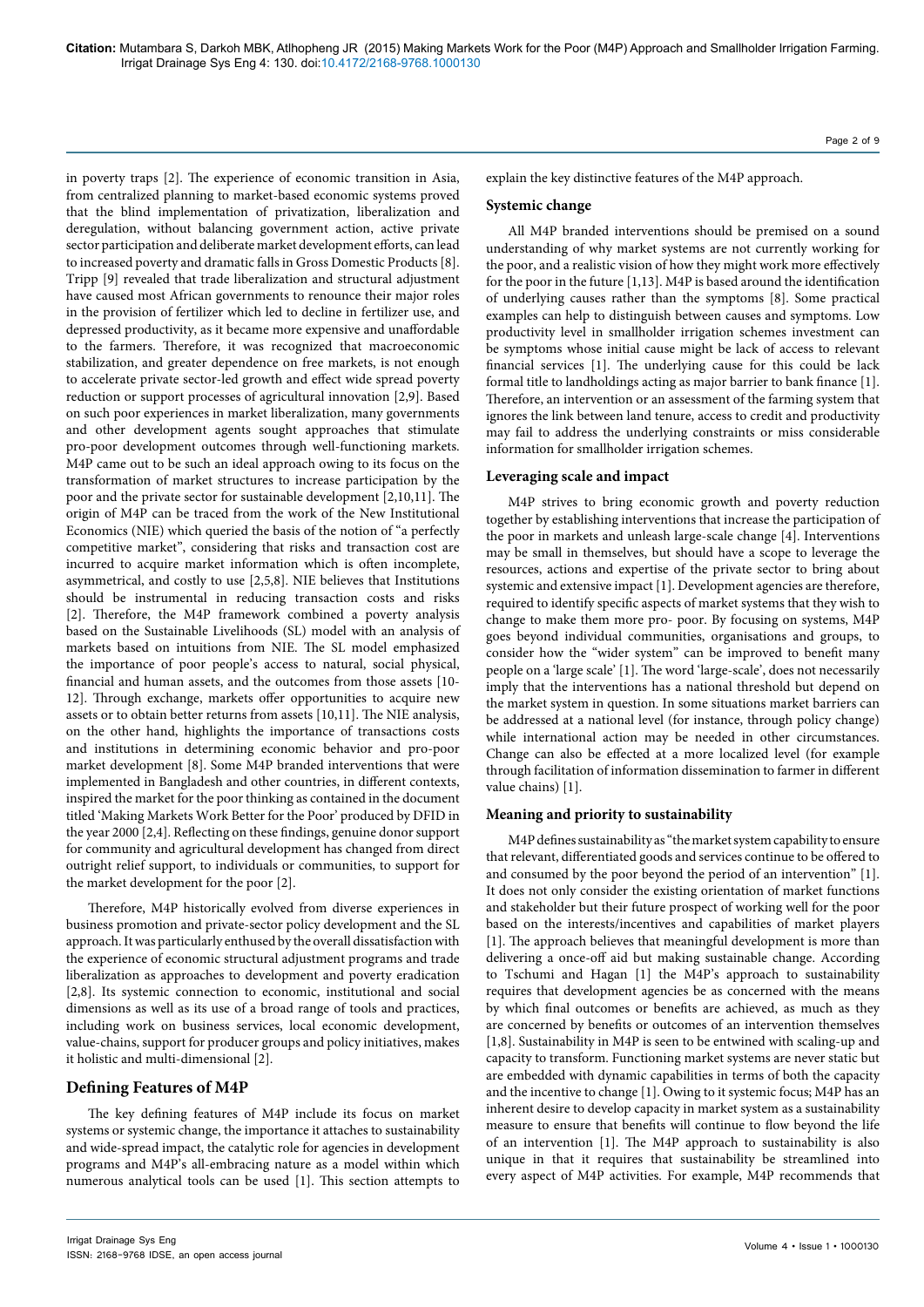in poverty traps [2]. The experience of economic transition in Asia, from centralized planning to market-based economic systems proved that the blind implementation of privatization, liberalization and deregulation, without balancing government action, active private sector participation and deliberate market development efforts, can lead to increased poverty and dramatic falls in Gross Domestic Products [8]. Tripp [9] revealed that trade liberalization and structural adjustment have caused most African governments to renounce their major roles in the provision of fertilizer which led to decline in fertilizer use, and depressed productivity, as it became more expensive and unaffordable to the farmers. Therefore, it was recognized that macroeconomic stabilization, and greater dependence on free markets, is not enough to accelerate private sector-led growth and effect wide spread poverty reduction or support processes of agricultural innovation [2,9]. Based on such poor experiences in market liberalization, many governments and other development agents sought approaches that stimulate pro-poor development outcomes through well-functioning markets. M4P came out to be such an ideal approach owing to its focus on the transformation of market structures to increase participation by the poor and the private sector for sustainable development [2,10,11]. The origin of M4P can be traced from the work of the New Institutional Economics (NIE) which queried the basis of the notion of "a perfectly competitive market", considering that risks and transaction cost are incurred to acquire market information which is often incomplete, asymmetrical, and costly to use [2,5,8]. NIE believes that Institutions should be instrumental in reducing transaction costs and risks [2]. Therefore, the M4P framework combined a poverty analysis based on the Sustainable Livelihoods (SL) model with an analysis of markets based on intuitions from NIE. The SL model emphasized the importance of poor people's access to natural, social physical, financial and human assets, and the outcomes from those assets [10- 12]. Through exchange, markets offer opportunities to acquire new assets or to obtain better returns from assets [10,11]. The NIE analysis, on the other hand, highlights the importance of transactions costs and institutions in determining economic behavior and pro-poor market development [8]. Some M4P branded interventions that were implemented in Bangladesh and other countries, in different contexts, inspired the market for the poor thinking as contained in the document titled 'Making Markets Work Better for the Poor' produced by DFID in the year 2000 [2,4]. Reflecting on these findings, genuine donor support for community and agricultural development has changed from direct outright relief support, to individuals or communities, to support for the market development for the poor [2].

Therefore, M4P historically evolved from diverse experiences in business promotion and private-sector policy development and the SL approach. It was particularly enthused by the overall dissatisfaction with the experience of economic structural adjustment programs and trade liberalization as approaches to development and poverty eradication [2,8]. Its systemic connection to economic, institutional and social dimensions as well as its use of a broad range of tools and practices, including work on business services, local economic development, value-chains, support for producer groups and policy initiatives, makes it holistic and multi-dimensional [2].

## **Defining Features of M4P**

The key defining features of M4P include its focus on market systems or systemic change, the importance it attaches to sustainability and wide-spread impact, the catalytic role for agencies in development programs and M4P's all-embracing nature as a model within which numerous analytical tools can be used [1]. This section attempts to

Page 2 of 9

explain the key distinctive features of the M4P approach.

#### **Systemic change**

All M4P branded interventions should be premised on a sound understanding of why market systems are not currently working for the poor, and a realistic vision of how they might work more effectively for the poor in the future [1,13]. M4P is based around the identification of underlying causes rather than the symptoms [8]. Some practical examples can help to distinguish between causes and symptoms. Low productivity level in smallholder irrigation schemes investment can be symptoms whose initial cause might be lack of access to relevant financial services [1]. The underlying cause for this could be lack formal title to landholdings acting as major barrier to bank finance [1]. Therefore, an intervention or an assessment of the farming system that ignores the link between land tenure, access to credit and productivity may fail to address the underlying constraints or miss considerable information for smallholder irrigation schemes.

#### **Leveraging scale and impact**

M4P strives to bring economic growth and poverty reduction together by establishing interventions that increase the participation of the poor in markets and unleash large-scale change [4]. Interventions may be small in themselves, but should have a scope to leverage the resources, actions and expertise of the private sector to bring about systemic and extensive impact [1]. Development agencies are therefore, required to identify specific aspects of market systems that they wish to change to make them more pro- poor. By focusing on systems, M4P goes beyond individual communities, organisations and groups, to consider how the "wider system" can be improved to benefit many people on a 'large scale' [1]. The word 'large-scale', does not necessarily imply that the interventions has a national threshold but depend on the market system in question. In some situations market barriers can be addressed at a national level (for instance, through policy change) while international action may be needed in other circumstances. Change can also be effected at a more localized level (for example through facilitation of information dissemination to farmer in different value chains) [1].

#### **Meaning and priority to sustainability**

M4P defines sustainability as "the market system capability to ensure that relevant, differentiated goods and services continue to be offered to and consumed by the poor beyond the period of an intervention" [1]. It does not only consider the existing orientation of market functions and stakeholder but their future prospect of working well for the poor based on the interests/incentives and capabilities of market players [1]. The approach believes that meaningful development is more than delivering a once-off aid but making sustainable change. According to Tschumi and Hagan [1] the M4P's approach to sustainability requires that development agencies be as concerned with the means by which final outcomes or benefits are achieved, as much as they are concerned by benefits or outcomes of an intervention themselves [1,8]. Sustainability in M4P is seen to be entwined with scaling-up and capacity to transform. Functioning market systems are never static but are embedded with dynamic capabilities in terms of both the capacity and the incentive to change [1]. Owing to it systemic focus; M4P has an inherent desire to develop capacity in market system as a sustainability measure to ensure that benefits will continue to flow beyond the life of an intervention [1]. The M4P approach to sustainability is also unique in that it requires that sustainability be streamlined into every aspect of M4P activities. For example, M4P recommends that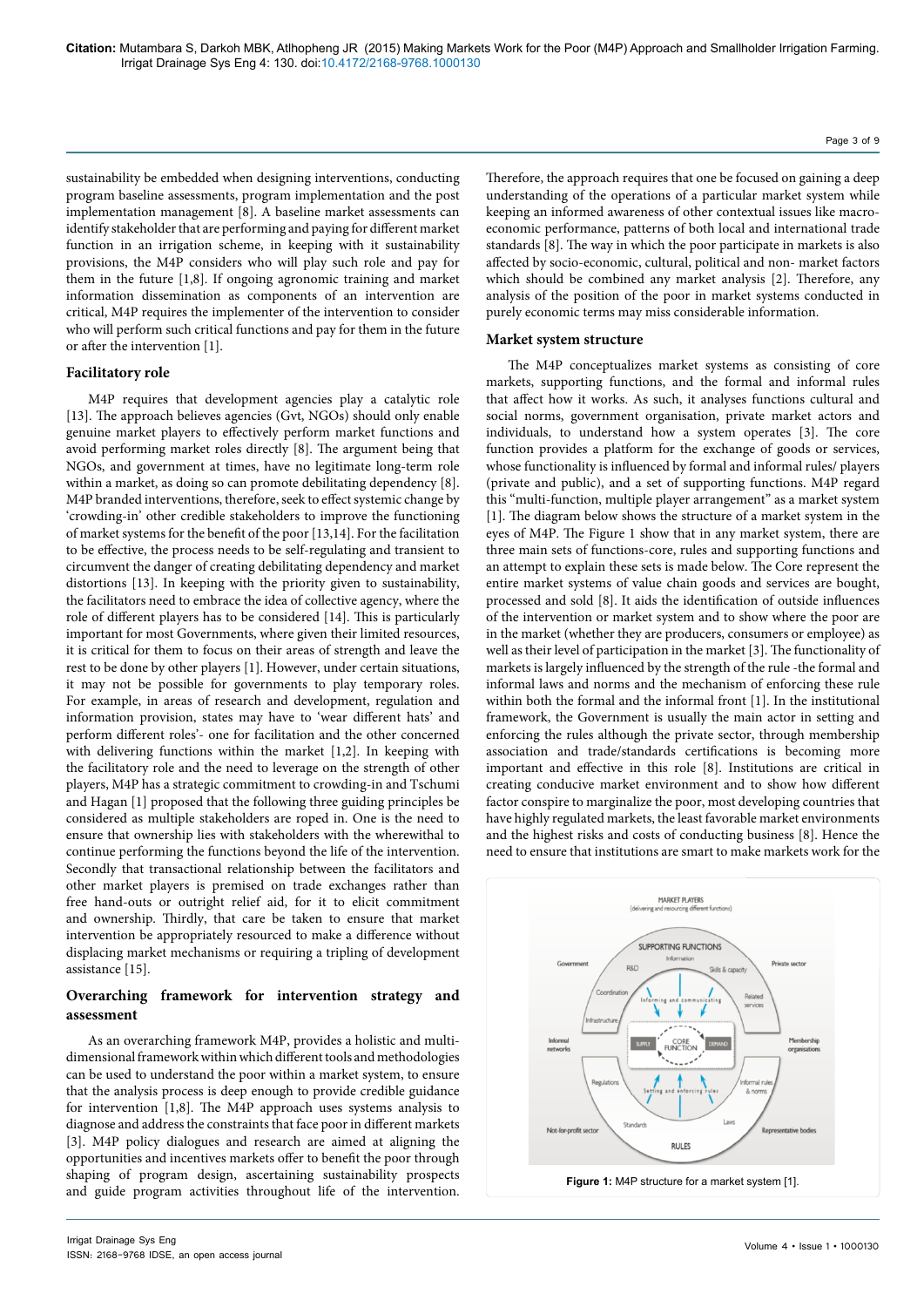sustainability be embedded when designing interventions, conducting program baseline assessments, program implementation and the post implementation management [8]. A baseline market assessments can identify stakeholder that are performing and paying for different market function in an irrigation scheme, in keeping with it sustainability provisions, the M4P considers who will play such role and pay for them in the future [1,8]. If ongoing agronomic training and market information dissemination as components of an intervention are critical, M4P requires the implementer of the intervention to consider who will perform such critical functions and pay for them in the future or after the intervention [1].

#### **Facilitatory role**

M4P requires that development agencies play a catalytic role [13]. The approach believes agencies (Gvt, NGOs) should only enable genuine market players to effectively perform market functions and avoid performing market roles directly [8]. The argument being that NGOs, and government at times, have no legitimate long-term role within a market, as doing so can promote debilitating dependency [8]. M4P branded interventions, therefore, seek to effect systemic change by 'crowding-in' other credible stakeholders to improve the functioning of market systems for the benefit of the poor [13,14]. For the facilitation to be effective, the process needs to be self-regulating and transient to circumvent the danger of creating debilitating dependency and market distortions [13]. In keeping with the priority given to sustainability, the facilitators need to embrace the idea of collective agency, where the role of different players has to be considered [14]. This is particularly important for most Governments, where given their limited resources, it is critical for them to focus on their areas of strength and leave the rest to be done by other players [1]. However, under certain situations, it may not be possible for governments to play temporary roles. For example, in areas of research and development, regulation and information provision, states may have to 'wear different hats' and perform different roles'- one for facilitation and the other concerned with delivering functions within the market [1,2]. In keeping with the facilitatory role and the need to leverage on the strength of other players, M4P has a strategic commitment to crowding-in and Tschumi and Hagan [1] proposed that the following three guiding principles be considered as multiple stakeholders are roped in. One is the need to ensure that ownership lies with stakeholders with the wherewithal to continue performing the functions beyond the life of the intervention. Secondly that transactional relationship between the facilitators and other market players is premised on trade exchanges rather than free hand-outs or outright relief aid, for it to elicit commitment and ownership. Thirdly, that care be taken to ensure that market intervention be appropriately resourced to make a difference without displacing market mechanisms or requiring a tripling of development assistance [15].

## **Overarching framework for intervention strategy and assessment**

As an overarching framework M4P, provides a holistic and multidimensional framework within which different tools and methodologies can be used to understand the poor within a market system, to ensure that the analysis process is deep enough to provide credible guidance for intervention [1,8]. The M4P approach uses systems analysis to diagnose and address the constraints that face poor in different markets [3]. M4P policy dialogues and research are aimed at aligning the opportunities and incentives markets offer to benefit the poor through shaping of program design, ascertaining sustainability prospects and guide program activities throughout life of the intervention. Therefore, the approach requires that one be focused on gaining a deep understanding of the operations of a particular market system while keeping an informed awareness of other contextual issues like macroeconomic performance, patterns of both local and international trade standards [8]. The way in which the poor participate in markets is also affected by socio-economic, cultural, political and non- market factors which should be combined any market analysis [2]. Therefore, any analysis of the position of the poor in market systems conducted in purely economic terms may miss considerable information.

Page 3 of 9

#### **Market system structure**

The M4P conceptualizes market systems as consisting of core markets, supporting functions, and the formal and informal rules that affect how it works. As such, it analyses functions cultural and social norms, government organisation, private market actors and individuals, to understand how a system operates [3]. The core function provides a platform for the exchange of goods or services, whose functionality is influenced by formal and informal rules/ players (private and public), and a set of supporting functions. M4P regard this "multi-function, multiple player arrangement" as a market system [1]. The diagram below shows the structure of a market system in the eyes of M4P. The Figure 1 show that in any market system, there are three main sets of functions-core, rules and supporting functions and an attempt to explain these sets is made below. The Core represent the entire market systems of value chain goods and services are bought, processed and sold [8]. It aids the identification of outside influences of the intervention or market system and to show where the poor are in the market (whether they are producers, consumers or employee) as well as their level of participation in the market [3]. The functionality of markets is largely influenced by the strength of the rule -the formal and informal laws and norms and the mechanism of enforcing these rule within both the formal and the informal front [1]. In the institutional framework, the Government is usually the main actor in setting and enforcing the rules although the private sector, through membership association and trade/standards certifications is becoming more important and effective in this role [8]. Institutions are critical in creating conducive market environment and to show how different factor conspire to marginalize the poor, most developing countries that have highly regulated markets, the least favorable market environments and the highest risks and costs of conducting business [8]. Hence the need to ensure that institutions are smart to make markets work for the

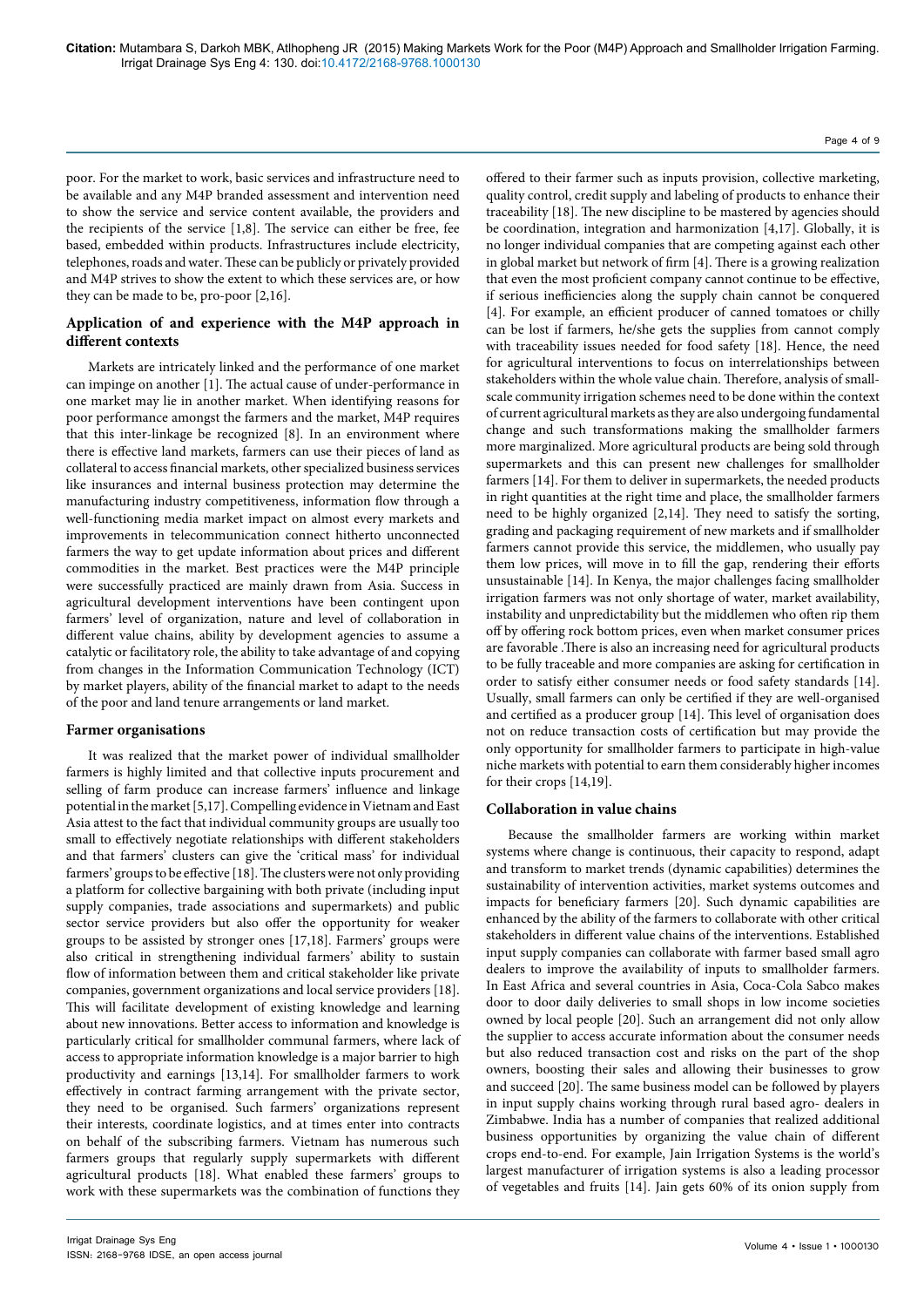Page 4 of 9

poor. For the market to work, basic services and infrastructure need to be available and any M4P branded assessment and intervention need to show the service and service content available, the providers and the recipients of the service [1,8]. The service can either be free, fee based, embedded within products. Infrastructures include electricity, telephones, roads and water. These can be publicly or privately provided and M4P strives to show the extent to which these services are, or how they can be made to be, pro-poor [2,16].

## **Application of and experience with the M4P approach in different contexts**

Markets are intricately linked and the performance of one market can impinge on another [1]. The actual cause of under-performance in one market may lie in another market. When identifying reasons for poor performance amongst the farmers and the market, M4P requires that this inter-linkage be recognized [8]. In an environment where there is effective land markets, farmers can use their pieces of land as collateral to access financial markets, other specialized business services like insurances and internal business protection may determine the manufacturing industry competitiveness, information flow through a well-functioning media market impact on almost every markets and improvements in telecommunication connect hitherto unconnected farmers the way to get update information about prices and different commodities in the market. Best practices were the M4P principle were successfully practiced are mainly drawn from Asia. Success in agricultural development interventions have been contingent upon farmers' level of organization, nature and level of collaboration in different value chains, ability by development agencies to assume a catalytic or facilitatory role, the ability to take advantage of and copying from changes in the Information Communication Technology (ICT) by market players, ability of the financial market to adapt to the needs of the poor and land tenure arrangements or land market.

#### **Farmer organisations**

It was realized that the market power of individual smallholder farmers is highly limited and that collective inputs procurement and selling of farm produce can increase farmers' influence and linkage potential in the market [5,17]. Compelling evidence in Vietnam and East Asia attest to the fact that individual community groups are usually too small to effectively negotiate relationships with different stakeholders and that farmers' clusters can give the 'critical mass' for individual farmers' groups to be effective [18]. The clusters were not only providing a platform for collective bargaining with both private (including input supply companies, trade associations and supermarkets) and public sector service providers but also offer the opportunity for weaker groups to be assisted by stronger ones [17,18]. Farmers' groups were also critical in strengthening individual farmers' ability to sustain flow of information between them and critical stakeholder like private companies, government organizations and local service providers [18]. This will facilitate development of existing knowledge and learning about new innovations. Better access to information and knowledge is particularly critical for smallholder communal farmers, where lack of access to appropriate information knowledge is a major barrier to high productivity and earnings [13,14]. For smallholder farmers to work effectively in contract farming arrangement with the private sector, they need to be organised. Such farmers' organizations represent their interests, coordinate logistics, and at times enter into contracts on behalf of the subscribing farmers. Vietnam has numerous such farmers groups that regularly supply supermarkets with different agricultural products [18]. What enabled these farmers' groups to work with these supermarkets was the combination of functions they offered to their farmer such as inputs provision, collective marketing, quality control, credit supply and labeling of products to enhance their traceability [18]. The new discipline to be mastered by agencies should be coordination, integration and harmonization [4,17]. Globally, it is no longer individual companies that are competing against each other in global market but network of firm [4]. There is a growing realization that even the most proficient company cannot continue to be effective, if serious inefficiencies along the supply chain cannot be conquered [4]. For example, an efficient producer of canned tomatoes or chilly can be lost if farmers, he/she gets the supplies from cannot comply with traceability issues needed for food safety [18]. Hence, the need for agricultural interventions to focus on interrelationships between stakeholders within the whole value chain. Therefore, analysis of smallscale community irrigation schemes need to be done within the context of current agricultural markets as they are also undergoing fundamental change and such transformations making the smallholder farmers more marginalized. More agricultural products are being sold through supermarkets and this can present new challenges for smallholder farmers [14]. For them to deliver in supermarkets, the needed products in right quantities at the right time and place, the smallholder farmers need to be highly organized [2,14]. They need to satisfy the sorting, grading and packaging requirement of new markets and if smallholder farmers cannot provide this service, the middlemen, who usually pay them low prices, will move in to fill the gap, rendering their efforts unsustainable [14]. In Kenya, the major challenges facing smallholder irrigation farmers was not only shortage of water, market availability, instability and unpredictability but the middlemen who often rip them off by offering rock bottom prices, even when market consumer prices are favorable .There is also an increasing need for agricultural products to be fully traceable and more companies are asking for certification in order to satisfy either consumer needs or food safety standards [14]. Usually, small farmers can only be certified if they are well-organised and certified as a producer group [14]. This level of organisation does not on reduce transaction costs of certification but may provide the only opportunity for smallholder farmers to participate in high-value niche markets with potential to earn them considerably higher incomes for their crops [14,19].

#### **Collaboration in value chains**

Because the smallholder farmers are working within market systems where change is continuous, their capacity to respond, adapt and transform to market trends (dynamic capabilities) determines the sustainability of intervention activities, market systems outcomes and impacts for beneficiary farmers [20]. Such dynamic capabilities are enhanced by the ability of the farmers to collaborate with other critical stakeholders in different value chains of the interventions. Established input supply companies can collaborate with farmer based small agro dealers to improve the availability of inputs to smallholder farmers. In East Africa and several countries in Asia, Coca-Cola Sabco makes door to door daily deliveries to small shops in low income societies owned by local people [20]. Such an arrangement did not only allow the supplier to access accurate information about the consumer needs but also reduced transaction cost and risks on the part of the shop owners, boosting their sales and allowing their businesses to grow and succeed [20]. The same business model can be followed by players in input supply chains working through rural based agro- dealers in Zimbabwe. India has a number of companies that realized additional business opportunities by organizing the value chain of different crops end-to-end. For example, Jain Irrigation Systems is the world's largest manufacturer of irrigation systems is also a leading processor of vegetables and fruits [14]. Jain gets 60% of its onion supply from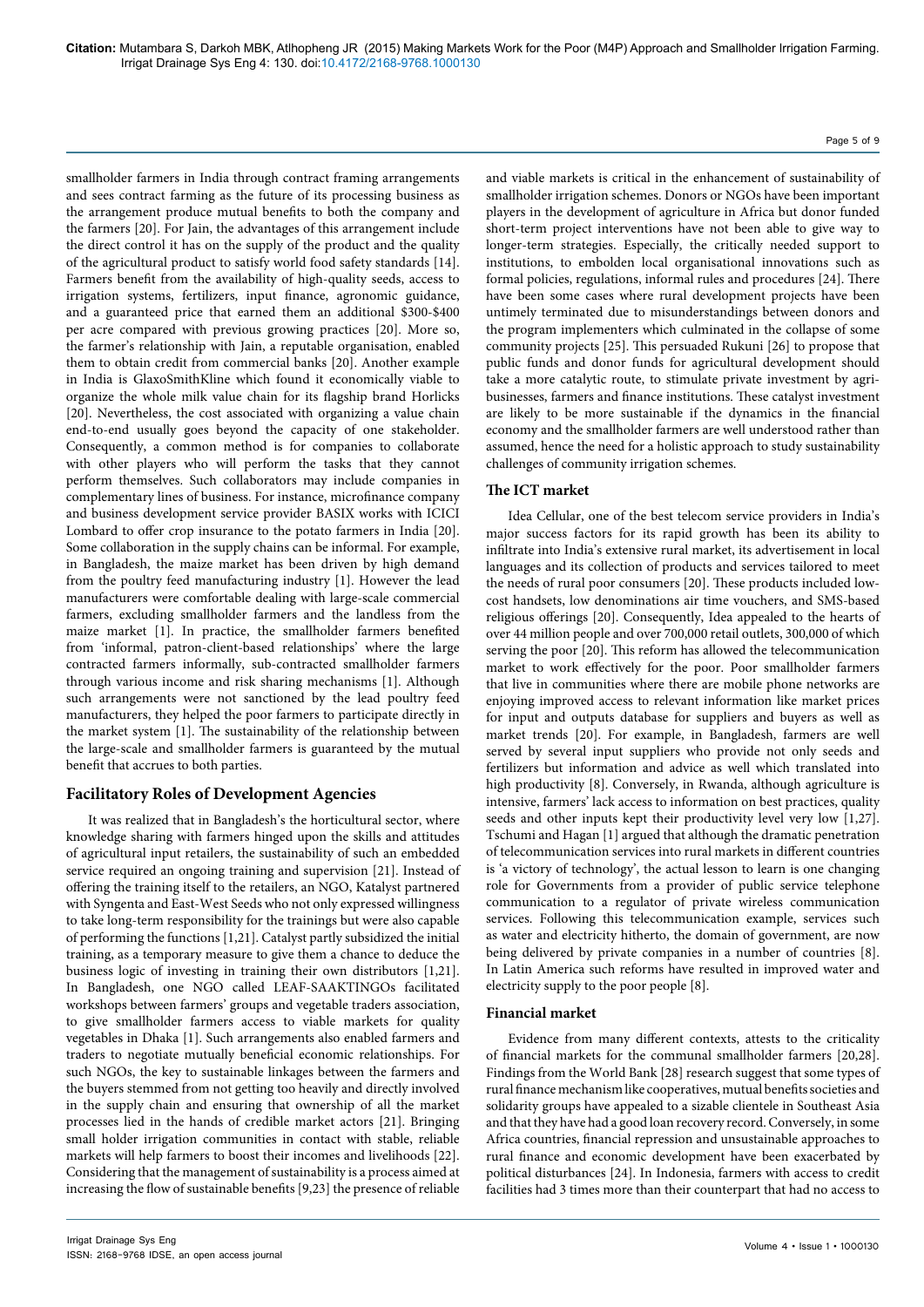smallholder farmers in India through contract framing arrangements and sees contract farming as the future of its processing business as the arrangement produce mutual benefits to both the company and the farmers [20]. For Jain, the advantages of this arrangement include the direct control it has on the supply of the product and the quality of the agricultural product to satisfy world food safety standards [14]. Farmers benefit from the availability of high-quality seeds, access to irrigation systems, fertilizers, input finance, agronomic guidance, and a guaranteed price that earned them an additional \$300-\$400 per acre compared with previous growing practices [20]. More so, the farmer's relationship with Jain, a reputable organisation, enabled them to obtain credit from commercial banks [20]. Another example in India is GlaxoSmithKline which found it economically viable to organize the whole milk value chain for its flagship brand Horlicks [20]. Nevertheless, the cost associated with organizing a value chain end-to-end usually goes beyond the capacity of one stakeholder. Consequently, a common method is for companies to collaborate with other players who will perform the tasks that they cannot perform themselves. Such collaborators may include companies in complementary lines of business. For instance, microfinance company and business development service provider BASIX works with ICICI Lombard to offer crop insurance to the potato farmers in India [20]. Some collaboration in the supply chains can be informal. For example, in Bangladesh, the maize market has been driven by high demand from the poultry feed manufacturing industry [1]. However the lead manufacturers were comfortable dealing with large-scale commercial farmers, excluding smallholder farmers and the landless from the maize market [1]. In practice, the smallholder farmers benefited from 'informal, patron-client-based relationships' where the large contracted farmers informally, sub-contracted smallholder farmers through various income and risk sharing mechanisms [1]. Although such arrangements were not sanctioned by the lead poultry feed manufacturers, they helped the poor farmers to participate directly in the market system [1]. The sustainability of the relationship between the large-scale and smallholder farmers is guaranteed by the mutual benefit that accrues to both parties.

## **Facilitatory Roles of Development Agencies**

It was realized that in Bangladesh's the horticultural sector, where knowledge sharing with farmers hinged upon the skills and attitudes of agricultural input retailers, the sustainability of such an embedded service required an ongoing training and supervision [21]. Instead of offering the training itself to the retailers, an NGO, Katalyst partnered with Syngenta and East-West Seeds who not only expressed willingness to take long-term responsibility for the trainings but were also capable of performing the functions [1,21]. Catalyst partly subsidized the initial training, as a temporary measure to give them a chance to deduce the business logic of investing in training their own distributors [1,21]. In Bangladesh, one NGO called LEAF-SAAKTINGOs facilitated workshops between farmers' groups and vegetable traders association, to give smallholder farmers access to viable markets for quality vegetables in Dhaka [1]. Such arrangements also enabled farmers and traders to negotiate mutually beneficial economic relationships. For such NGOs, the key to sustainable linkages between the farmers and the buyers stemmed from not getting too heavily and directly involved in the supply chain and ensuring that ownership of all the market processes lied in the hands of credible market actors [21]. Bringing small holder irrigation communities in contact with stable, reliable markets will help farmers to boost their incomes and livelihoods [22]. Considering that the management of sustainability is a process aimed at increasing the flow of sustainable benefits [9,23] the presence of reliable

and viable markets is critical in the enhancement of sustainability of smallholder irrigation schemes. Donors or NGOs have been important players in the development of agriculture in Africa but donor funded short-term project interventions have not been able to give way to longer-term strategies. Especially, the critically needed support to institutions, to embolden local organisational innovations such as formal policies, regulations, informal rules and procedures [24]. There have been some cases where rural development projects have been untimely terminated due to misunderstandings between donors and the program implementers which culminated in the collapse of some community projects [25]. This persuaded Rukuni [26] to propose that public funds and donor funds for agricultural development should take a more catalytic route, to stimulate private investment by agribusinesses, farmers and finance institutions. These catalyst investment are likely to be more sustainable if the dynamics in the financial economy and the smallholder farmers are well understood rather than assumed, hence the need for a holistic approach to study sustainability challenges of community irrigation schemes.

Page 5 of 9

## **The ICT market**

Idea Cellular, one of the best telecom service providers in India's major success factors for its rapid growth has been its ability to infiltrate into India's extensive rural market, its advertisement in local languages and its collection of products and services tailored to meet the needs of rural poor consumers [20]. These products included lowcost handsets, low denominations air time vouchers, and SMS-based religious offerings [20]. Consequently, Idea appealed to the hearts of over 44 million people and over 700,000 retail outlets, 300,000 of which serving the poor [20]. This reform has allowed the telecommunication market to work effectively for the poor. Poor smallholder farmers that live in communities where there are mobile phone networks are enjoying improved access to relevant information like market prices for input and outputs database for suppliers and buyers as well as market trends [20]. For example, in Bangladesh, farmers are well served by several input suppliers who provide not only seeds and fertilizers but information and advice as well which translated into high productivity [8]. Conversely, in Rwanda, although agriculture is intensive, farmers' lack access to information on best practices, quality seeds and other inputs kept their productivity level very low [1,27]. Tschumi and Hagan [1] argued that although the dramatic penetration of telecommunication services into rural markets in different countries is 'a victory of technology', the actual lesson to learn is one changing role for Governments from a provider of public service telephone communication to a regulator of private wireless communication services. Following this telecommunication example, services such as water and electricity hitherto, the domain of government, are now being delivered by private companies in a number of countries [8]. In Latin America such reforms have resulted in improved water and electricity supply to the poor people [8].

#### **Financial market**

Evidence from many different contexts, attests to the criticality of financial markets for the communal smallholder farmers [20,28]. Findings from the World Bank [28] research suggest that some types of rural finance mechanism like cooperatives, mutual benefits societies and solidarity groups have appealed to a sizable clientele in Southeast Asia and that they have had a good loan recovery record. Conversely, in some Africa countries, financial repression and unsustainable approaches to rural finance and economic development have been exacerbated by political disturbances [24]. In Indonesia, farmers with access to credit facilities had 3 times more than their counterpart that had no access to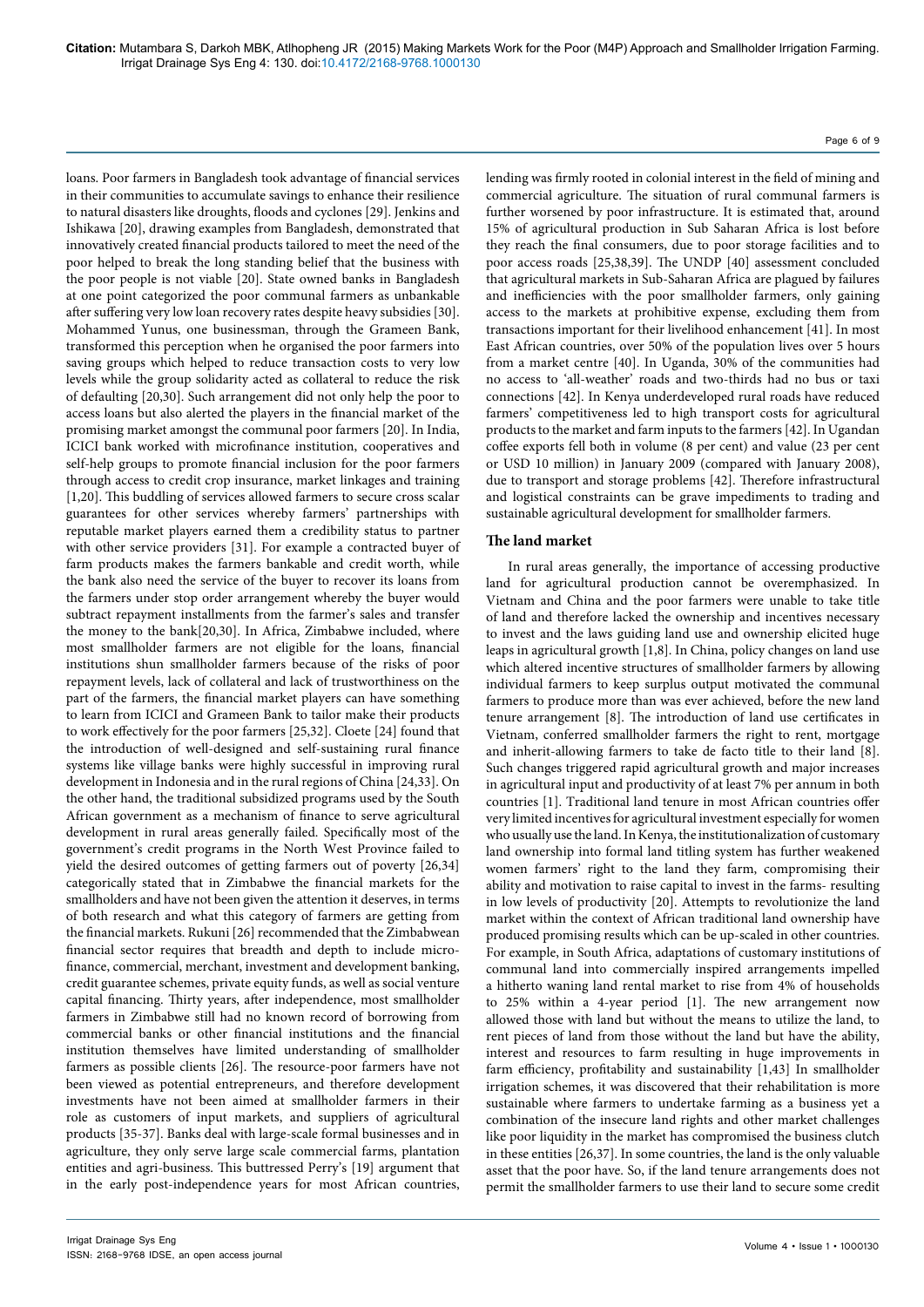loans. Poor farmers in Bangladesh took advantage of financial services in their communities to accumulate savings to enhance their resilience to natural disasters like droughts, floods and cyclones [29]. Jenkins and Ishikawa [20], drawing examples from Bangladesh, demonstrated that innovatively created financial products tailored to meet the need of the poor helped to break the long standing belief that the business with the poor people is not viable [20]. State owned banks in Bangladesh at one point categorized the poor communal farmers as unbankable after suffering very low loan recovery rates despite heavy subsidies [30]. Mohammed Yunus, one businessman, through the Grameen Bank, transformed this perception when he organised the poor farmers into saving groups which helped to reduce transaction costs to very low levels while the group solidarity acted as collateral to reduce the risk of defaulting [20,30]. Such arrangement did not only help the poor to access loans but also alerted the players in the financial market of the promising market amongst the communal poor farmers [20]. In India, ICICI bank worked with microfinance institution, cooperatives and self-help groups to promote financial inclusion for the poor farmers through access to credit crop insurance, market linkages and training [1,20]. This buddling of services allowed farmers to secure cross scalar guarantees for other services whereby farmers' partnerships with reputable market players earned them a credibility status to partner with other service providers [31]. For example a contracted buyer of farm products makes the farmers bankable and credit worth, while the bank also need the service of the buyer to recover its loans from the farmers under stop order arrangement whereby the buyer would subtract repayment installments from the farmer's sales and transfer the money to the bank[20,30]. In Africa, Zimbabwe included, where most smallholder farmers are not eligible for the loans, financial institutions shun smallholder farmers because of the risks of poor repayment levels, lack of collateral and lack of trustworthiness on the part of the farmers, the financial market players can have something to learn from ICICI and Grameen Bank to tailor make their products to work effectively for the poor farmers [25,32]. Cloete [24] found that the introduction of well-designed and self-sustaining rural finance systems like village banks were highly successful in improving rural development in Indonesia and in the rural regions of China [24,33]. On the other hand, the traditional subsidized programs used by the South African government as a mechanism of finance to serve agricultural development in rural areas generally failed. Specifically most of the government's credit programs in the North West Province failed to yield the desired outcomes of getting farmers out of poverty [26,34] categorically stated that in Zimbabwe the financial markets for the smallholders and have not been given the attention it deserves, in terms of both research and what this category of farmers are getting from the financial markets. Rukuni [26] recommended that the Zimbabwean financial sector requires that breadth and depth to include microfinance, commercial, merchant, investment and development banking, credit guarantee schemes, private equity funds, as well as social venture capital financing. Thirty years, after independence, most smallholder farmers in Zimbabwe still had no known record of borrowing from commercial banks or other financial institutions and the financial institution themselves have limited understanding of smallholder farmers as possible clients [26]. The resource-poor farmers have not been viewed as potential entrepreneurs, and therefore development investments have not been aimed at smallholder farmers in their role as customers of input markets, and suppliers of agricultural products [35-37]. Banks deal with large-scale formal businesses and in agriculture, they only serve large scale commercial farms, plantation entities and agri-business. This buttressed Perry's [19] argument that in the early post-independence years for most African countries,

lending was firmly rooted in colonial interest in the field of mining and commercial agriculture. The situation of rural communal farmers is further worsened by poor infrastructure. It is estimated that, around 15% of agricultural production in Sub Saharan Africa is lost before they reach the final consumers, due to poor storage facilities and to poor access roads [25,38,39]. The UNDP [40] assessment concluded that agricultural markets in Sub-Saharan Africa are plagued by failures and inefficiencies with the poor smallholder farmers, only gaining access to the markets at prohibitive expense, excluding them from transactions important for their livelihood enhancement [41]. In most East African countries, over 50% of the population lives over 5 hours from a market centre [40]. In Uganda, 30% of the communities had no access to 'all-weather' roads and two-thirds had no bus or taxi connections [42]. In Kenya underdeveloped rural roads have reduced farmers' competitiveness led to high transport costs for agricultural products to the market and farm inputs to the farmers [42]. In Ugandan coffee exports fell both in volume (8 per cent) and value (23 per cent or USD 10 million) in January 2009 (compared with January 2008), due to transport and storage problems [42]. Therefore infrastructural and logistical constraints can be grave impediments to trading and sustainable agricultural development for smallholder farmers.

#### **The land market**

In rural areas generally, the importance of accessing productive land for agricultural production cannot be overemphasized. In Vietnam and China and the poor farmers were unable to take title of land and therefore lacked the ownership and incentives necessary to invest and the laws guiding land use and ownership elicited huge leaps in agricultural growth [1,8]. In China, policy changes on land use which altered incentive structures of smallholder farmers by allowing individual farmers to keep surplus output motivated the communal farmers to produce more than was ever achieved, before the new land tenure arrangement [8]. The introduction of land use certificates in Vietnam, conferred smallholder farmers the right to rent, mortgage and inherit-allowing farmers to take de facto title to their land [8]. Such changes triggered rapid agricultural growth and major increases in agricultural input and productivity of at least 7% per annum in both countries [1]. Traditional land tenure in most African countries offer very limited incentives for agricultural investment especially for women who usually use the land. In Kenya, the institutionalization of customary land ownership into formal land titling system has further weakened women farmers' right to the land they farm, compromising their ability and motivation to raise capital to invest in the farms- resulting in low levels of productivity [20]. Attempts to revolutionize the land market within the context of African traditional land ownership have produced promising results which can be up-scaled in other countries. For example, in South Africa, adaptations of customary institutions of communal land into commercially inspired arrangements impelled a hitherto waning land rental market to rise from 4% of households to 25% within a 4-year period [1]. The new arrangement now allowed those with land but without the means to utilize the land, to rent pieces of land from those without the land but have the ability, interest and resources to farm resulting in huge improvements in farm efficiency, profitability and sustainability [1,43] In smallholder irrigation schemes, it was discovered that their rehabilitation is more sustainable where farmers to undertake farming as a business yet a combination of the insecure land rights and other market challenges like poor liquidity in the market has compromised the business clutch in these entities [26,37]. In some countries, the land is the only valuable asset that the poor have. So, if the land tenure arrangements does not permit the smallholder farmers to use their land to secure some credit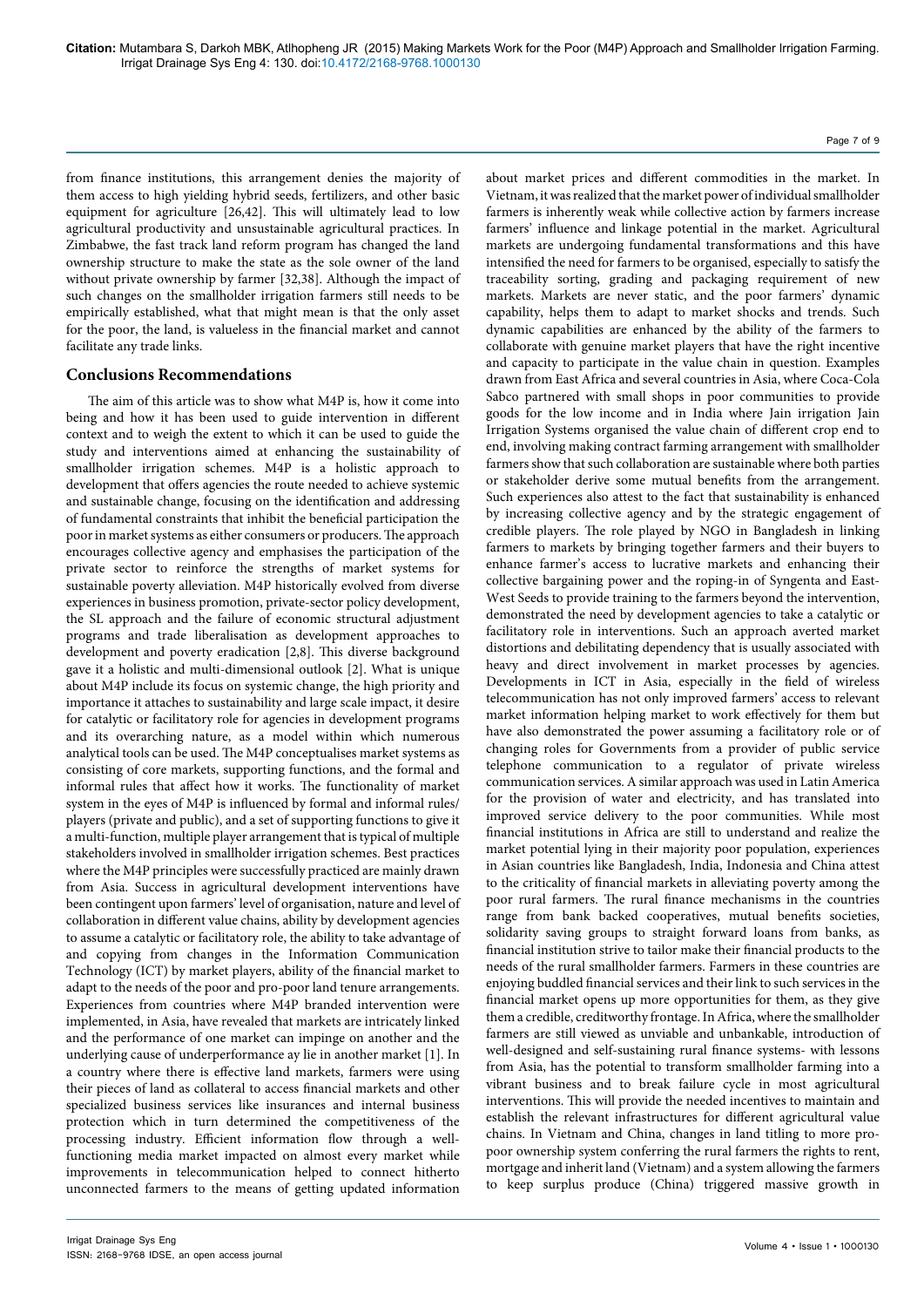from finance institutions, this arrangement denies the majority of them access to high yielding hybrid seeds, fertilizers, and other basic equipment for agriculture [26,42]. This will ultimately lead to low agricultural productivity and unsustainable agricultural practices. In Zimbabwe, the fast track land reform program has changed the land ownership structure to make the state as the sole owner of the land without private ownership by farmer [32,38]. Although the impact of such changes on the smallholder irrigation farmers still needs to be empirically established, what that might mean is that the only asset for the poor, the land, is valueless in the financial market and cannot facilitate any trade links.

#### **Conclusions Recommendations**

The aim of this article was to show what M4P is, how it come into being and how it has been used to guide intervention in different context and to weigh the extent to which it can be used to guide the study and interventions aimed at enhancing the sustainability of smallholder irrigation schemes. M4P is a holistic approach to development that offers agencies the route needed to achieve systemic and sustainable change, focusing on the identification and addressing of fundamental constraints that inhibit the beneficial participation the poor in market systems as either consumers or producers. The approach encourages collective agency and emphasises the participation of the private sector to reinforce the strengths of market systems for sustainable poverty alleviation. M4P historically evolved from diverse experiences in business promotion, private-sector policy development, the SL approach and the failure of economic structural adjustment programs and trade liberalisation as development approaches to development and poverty eradication [2,8]. This diverse background gave it a holistic and multi-dimensional outlook [2]. What is unique about M4P include its focus on systemic change, the high priority and importance it attaches to sustainability and large scale impact, it desire for catalytic or facilitatory role for agencies in development programs and its overarching nature, as a model within which numerous analytical tools can be used. The M4P conceptualises market systems as consisting of core markets, supporting functions, and the formal and informal rules that affect how it works. The functionality of market system in the eyes of M4P is influenced by formal and informal rules/ players (private and public), and a set of supporting functions to give it a multi-function, multiple player arrangement that is typical of multiple stakeholders involved in smallholder irrigation schemes. Best practices where the M4P principles were successfully practiced are mainly drawn from Asia. Success in agricultural development interventions have been contingent upon farmers' level of organisation, nature and level of collaboration in different value chains, ability by development agencies to assume a catalytic or facilitatory role, the ability to take advantage of and copying from changes in the Information Communication Technology (ICT) by market players, ability of the financial market to adapt to the needs of the poor and pro-poor land tenure arrangements. Experiences from countries where M4P branded intervention were implemented, in Asia, have revealed that markets are intricately linked and the performance of one market can impinge on another and the underlying cause of underperformance ay lie in another market [1]. In a country where there is effective land markets, farmers were using their pieces of land as collateral to access financial markets and other specialized business services like insurances and internal business protection which in turn determined the competitiveness of the processing industry. Efficient information flow through a wellfunctioning media market impacted on almost every market while improvements in telecommunication helped to connect hitherto unconnected farmers to the means of getting updated information Vietnam, it was realized that the market power of individual smallholder farmers is inherently weak while collective action by farmers increase farmers' influence and linkage potential in the market. Agricultural markets are undergoing fundamental transformations and this have intensified the need for farmers to be organised, especially to satisfy the traceability sorting, grading and packaging requirement of new markets. Markets are never static, and the poor farmers' dynamic capability, helps them to adapt to market shocks and trends. Such dynamic capabilities are enhanced by the ability of the farmers to collaborate with genuine market players that have the right incentive and capacity to participate in the value chain in question. Examples drawn from East Africa and several countries in Asia, where Coca-Cola Sabco partnered with small shops in poor communities to provide goods for the low income and in India where Jain irrigation Jain Irrigation Systems organised the value chain of different crop end to end, involving making contract farming arrangement with smallholder farmers show that such collaboration are sustainable where both parties or stakeholder derive some mutual benefits from the arrangement. Such experiences also attest to the fact that sustainability is enhanced by increasing collective agency and by the strategic engagement of credible players. The role played by NGO in Bangladesh in linking farmers to markets by bringing together farmers and their buyers to enhance farmer's access to lucrative markets and enhancing their collective bargaining power and the roping-in of Syngenta and East-West Seeds to provide training to the farmers beyond the intervention, demonstrated the need by development agencies to take a catalytic or facilitatory role in interventions. Such an approach averted market distortions and debilitating dependency that is usually associated with heavy and direct involvement in market processes by agencies. Developments in ICT in Asia, especially in the field of wireless telecommunication has not only improved farmers' access to relevant market information helping market to work effectively for them but have also demonstrated the power assuming a facilitatory role or of changing roles for Governments from a provider of public service telephone communication to a regulator of private wireless communication services. A similar approach was used in Latin America for the provision of water and electricity, and has translated into improved service delivery to the poor communities. While most financial institutions in Africa are still to understand and realize the market potential lying in their majority poor population, experiences in Asian countries like Bangladesh, India, Indonesia and China attest to the criticality of financial markets in alleviating poverty among the poor rural farmers. The rural finance mechanisms in the countries range from bank backed cooperatives, mutual benefits societies, solidarity saving groups to straight forward loans from banks, as financial institution strive to tailor make their financial products to the needs of the rural smallholder farmers. Farmers in these countries are enjoying buddled financial services and their link to such services in the financial market opens up more opportunities for them, as they give them a credible, creditworthy frontage. In Africa, where the smallholder

farmers are still viewed as unviable and unbankable, introduction of well-designed and self-sustaining rural finance systems- with lessons from Asia, has the potential to transform smallholder farming into a vibrant business and to break failure cycle in most agricultural interventions. This will provide the needed incentives to maintain and establish the relevant infrastructures for different agricultural value chains. In Vietnam and China, changes in land titling to more propoor ownership system conferring the rural farmers the rights to rent, mortgage and inherit land (Vietnam) and a system allowing the farmers to keep surplus produce (China) triggered massive growth in

about market prices and different commodities in the market. In

Page 7 of 9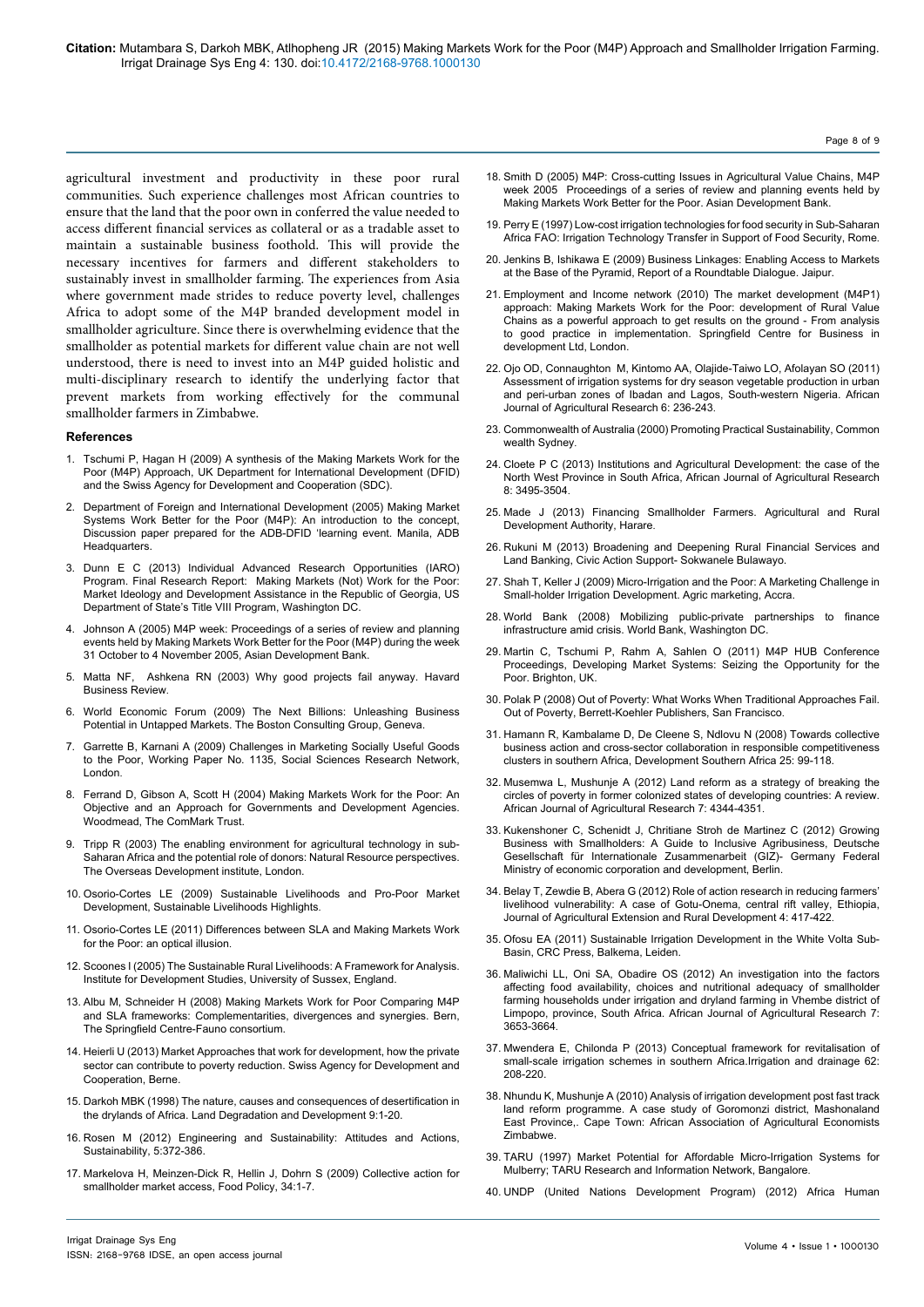agricultural investment and productivity in these poor rural communities. Such experience challenges most African countries to ensure that the land that the poor own in conferred the value needed to access different financial services as collateral or as a tradable asset to maintain a sustainable business foothold. This will provide the necessary incentives for farmers and different stakeholders to sustainably invest in smallholder farming. The experiences from Asia where government made strides to reduce poverty level, challenges Africa to adopt some of the M4P branded development model in smallholder agriculture. Since there is overwhelming evidence that the smallholder as potential markets for different value chain are not well understood, there is need to invest into an M4P guided holistic and multi-disciplinary research to identify the underlying factor that prevent markets from working effectively for the communal smallholder farmers in Zimbabwe.

#### **References**

- 1. [Tschumi P, Hagan H \(2009\) A synthesis of the Making Markets Work for the](https://scholar.google.co.in/scholar?q=related:NB5pyn8YjwUJ:scholar.google.com/&hl=en&as_sdt=0,5) [Poor \(M4P\) Approach, UK Department for International Development \(DFID\)](https://scholar.google.co.in/scholar?q=related:NB5pyn8YjwUJ:scholar.google.com/&hl=en&as_sdt=0,5) [and the Swiss Agency for Development and Cooperation \(SDC\).](https://scholar.google.co.in/scholar?q=related:NB5pyn8YjwUJ:scholar.google.com/&hl=en&as_sdt=0,5)
- 2. [Department of Foreign and International Development \(2005\) Making Market](http://aciar.gov.au/files/node/14580/making_value_chains_work_better_for_the_poor_a_to_14413.pdf) [Systems Work Better for the Poor \(M4P\): An introduction to the concept,](http://aciar.gov.au/files/node/14580/making_value_chains_work_better_for_the_poor_a_to_14413.pdf) [Discussion paper prepared for the ADB-DFID 'learning event. Manila, ADB](http://aciar.gov.au/files/node/14580/making_value_chains_work_better_for_the_poor_a_to_14413.pdf) [Headquarters.](http://aciar.gov.au/files/node/14580/making_value_chains_work_better_for_the_poor_a_to_14413.pdf)
- 3. [Dunn E C \(2013\) Individual Advanced Research Opportunities \(IARO\)](http://muse.jhu.edu/login?auth=0&type=summary&url=/journals/humanity/v003/3.1.dunn.html) [Program. Final Research Report: Making Markets \(Not\) Work for the Poor:](http://muse.jhu.edu/login?auth=0&type=summary&url=/journals/humanity/v003/3.1.dunn.html) [Market Ideology and Development Assistance in the Republic of Georgia, US](http://muse.jhu.edu/login?auth=0&type=summary&url=/journals/humanity/v003/3.1.dunn.html) [Department of State's Title VIII Program, Washington DC.](http://muse.jhu.edu/login?auth=0&type=summary&url=/journals/humanity/v003/3.1.dunn.html)
- 4. [Johnson A \(2005\) M4P week: Proceedings of a series of review and planning](http://www.markets4poor.org/m4p2/filedownload/M4P week 2005_eng.pdf) [events held by Making Markets Work Better for the Poor \(M4P\) during the week](http://www.markets4poor.org/m4p2/filedownload/M4P week 2005_eng.pdf) [31 October to 4 November 2005, Asian Development Bank.](http://www.markets4poor.org/m4p2/filedownload/M4P week 2005_eng.pdf)
- 5. [Matta NF, Ashkena RN \(2003\) Why good projects fail anyway. Havard](http://www.hbr.org.) [Business Review](http://www.hbr.org.).
- 6. [World Economic Forum \(2009\) The Next Billions: Unleashing Business](http://origin-www.bostonconsultinggroup.cl/documents/file15416.pdf) [Potential in Untapped Markets. The Boston Consulting Group,](http://origin-www.bostonconsultinggroup.cl/documents/file15416.pdf) Geneva.
- 7. [Garrette B, Karnani A \(2009\) Challenges in Marketing Socially Useful Goods](http://papers.ssrn.com/sol3/papers.cfm?abstract_id=1507757) [to the Poor, Working Paper No. 1135, Social Sciences Research Network,](http://papers.ssrn.com/sol3/papers.cfm?abstract_id=1507757) [London](http://papers.ssrn.com/sol3/papers.cfm?abstract_id=1507757).
- 8. [Ferrand D, Gibson A, Scott H \(2004\) Making Markets Work for the Poor: An](https://scholar.google.co.in/scholar?hl=en&q=The+ComMark+Trust&btnG=) [Objective and an Approach for Governments and Development Agencies.](https://scholar.google.co.in/scholar?hl=en&q=The+ComMark+Trust&btnG=) [Woodmead, The ComM](https://scholar.google.co.in/scholar?hl=en&q=The+ComMark+Trust&btnG=)ark Trust.
- 9. [Tripp R \(2003\) The enabling environment for agricultural technology in sub-](http://www.odi.org.uk/nrp/)[Saharan Africa and the potential role of donors: Natural Resource perspectives.](http://www.odi.org.uk/nrp/) [The Overseas Development institute,](http://www.odi.org.uk/nrp/) London.
- 10. [Osorio-Cortes LE \(2009\) Sustainable Livelihoods and Pro-Poor Market](http://bit.ly/kNBUdi.) [Development, Sustainable Livelihoods Highlights](http://bit.ly/kNBUdi.).
- 11. [Osorio-Cortes LE \(2011\) Differences between SLA and Making Markets Work](http://www.ids.ac.uk/go/knowledge-services/) [for the Poor: an optical illusion](http://www.ids.ac.uk/go/knowledge-services/).
- 12. [Scoones I \(2005\) The Sustainable Rural Livelihoods: A Framework for Analysis.](1.%09http:/www.sarpn.org.za/documents/d0001493/P1833-Sustainable-rural-livelihoods_IDS-paper72.pdf.) [Institute for Development Studies, University of Sussex, England.](1.%09http:/www.sarpn.org.za/documents/d0001493/P1833-Sustainable-rural-livelihoods_IDS-paper72.pdf.)
- 13. [Albu M, Schneider H \(2008\) Making Markets Work for Poor Comparing M4P](http://www.m4phub.org/userfiles/resources/1712011114210590-w5_Comparing_M4P_and_SLA_Frameworks.pdf) [and SLA frameworks: Complementarities, divergences and synergies. Bern,](http://www.m4phub.org/userfiles/resources/1712011114210590-w5_Comparing_M4P_and_SLA_Frameworks.pdf) [The Springfield Centre-Fauno consortium.](http://www.m4phub.org/userfiles/resources/1712011114210590-w5_Comparing_M4P_and_SLA_Frameworks.pdf)
- 14. [Heierli U \(2013\) Market Approaches that work for development, how the private](http://www.poverty.ch/documents/Synthesis.pdf) [sector can contribute to poverty reduction. Swiss Agency for Development and](http://www.poverty.ch/documents/Synthesis.pdf) [Cooperation, Berne.](http://www.poverty.ch/documents/Synthesis.pdf)
- 15. [Darkoh MBK \(1998\) The nature, causes and consequences of desertification in](http://www.agronomia.uchile.cl/web/manuel_casanova/desertificaci%F3n/Darkoh 1998.pdf.) [the drylands of Africa. Land Degradation and Development 9:1-20.](http://www.agronomia.uchile.cl/web/manuel_casanova/desertificaci%F3n/Darkoh 1998.pdf.)
- 16. [Rosen M \(2012\) Engineering and Sustainability: Attitudes and Actions,](http://www.mdpi.com/2071-1050/5/1/372/htm) [Sustainability, 5:372-386.](http://www.mdpi.com/2071-1050/5/1/372/htm)
- 17. [Markelova H, Meinzen-Dick R, Hellin J, Dohrn](http://www.sciencedirect.com/science/article/pii/S0306919208000730) S (2009) Collective action for [smallholder market access, Food Policy, 34:1-7.](http://www.sciencedirect.com/science/article/pii/S0306919208000730)

18. [Smith D \(2005\) M4P: Cross-cutting Issues in Agricultural Value Chains, M4P](https://scholar.google.co.in/scholar?hl=en&q=M4P%3A+Cross-cutting+Issues+in+Agricultural+Value+Chains%2C+M4P+week+2005++Proceedings+of+a+series+of+review+and+planning+events+held+by+Making+Markets+Work+Better+for+the+Poor+%28M4P%29+during+the+week+31+October+to+4+November+2005&btnG=)  [week 2005 Proceedings of a series of review and planning events held by](https://scholar.google.co.in/scholar?hl=en&q=M4P%3A+Cross-cutting+Issues+in+Agricultural+Value+Chains%2C+M4P+week+2005++Proceedings+of+a+series+of+review+and+planning+events+held+by+Making+Markets+Work+Better+for+the+Poor+%28M4P%29+during+the+week+31+October+to+4+November+2005&btnG=)  [Making Markets Work Better for the Poor. Asian Development Bank.](https://scholar.google.co.in/scholar?hl=en&q=M4P%3A+Cross-cutting+Issues+in+Agricultural+Value+Chains%2C+M4P+week+2005++Proceedings+of+a+series+of+review+and+planning+events+held+by+Making+Markets+Work+Better+for+the+Poor+%28M4P%29+during+the+week+31+October+to+4+November+2005&btnG=)

Page 8 of 9

- 19. [Perry E \(1997\) Low-cost irrigation technologies for food security in Sub-Saharan](http://agris.fao.org/agris-search/search.do?recordID=XF1998080921)  [Africa FAO: Irrigation Technology Transfer in Support of Food Security, Rome](http://agris.fao.org/agris-search/search.do?recordID=XF1998080921).
- 20. [Jenkins B, Ishikawa E \(2009\) Business Linkages: Enabling Access to Markets](http://www.seasofchange.net/wp-content/uploads/downloads/2011/12/9.-IFC_other_scaling_up_inclusive_business_2010.pdf)  [at the Base of the Pyramid, Report of a Roundtable Dialogue. Jaipur.](http://www.seasofchange.net/wp-content/uploads/downloads/2011/12/9.-IFC_other_scaling_up_inclusive_business_2010.pdf)
- 21. [Employment and Income network \(2010\) The market development \(M4P1\)](http://www.slideshare.net/marketfacil/m4p-approach-synthesis-dfid-and-sdc-2008)  [approach: Making Markets Work for the Poor: development of Rural Value](http://www.slideshare.net/marketfacil/m4p-approach-synthesis-dfid-and-sdc-2008)  [Chains as a powerful approach to get results on the ground - From analysis](http://www.slideshare.net/marketfacil/m4p-approach-synthesis-dfid-and-sdc-2008)  [to good practice in implementation. Springfield Centre for Business in](http://www.slideshare.net/marketfacil/m4p-approach-synthesis-dfid-and-sdc-2008)  [development Ltd, London.](http://www.slideshare.net/marketfacil/m4p-approach-synthesis-dfid-and-sdc-2008)
- 22. [Ojo OD, Connaughton M, Kintomo AA, Olajide-Taiwo LO, Afolayan SO \(2011\)](http://www.academicjournals.org/AJAR.)  [Assessment of irrigation systems for dry season vegetable production in urban](http://www.academicjournals.org/AJAR.)  [and peri-urban zones of Ibadan and Lagos, South-western Nigeria. African](http://www.academicjournals.org/AJAR.)  [Journal of Agricultural Research 6: 236-243](http://www.academicjournals.org/AJAR.).
- 23. [Commonwealth of Australia \(2000\) Promoting Practical Sustainability, Common](https://scholar.google.co.in/scholar?hl=en&q=23.%09Commonwealth+of+Australia+%282000%29.+Promoting+Practical+Sustainability%2C+Sydney&btnG=)  wealth [Sydney](https://scholar.google.co.in/scholar?hl=en&q=23.%09Commonwealth+of+Australia+%282000%29.+Promoting+Practical+Sustainability%2C+Sydney&btnG=)
- 24. Cloete P C (2013) Institutions and Agricultural Development: the case of the North West Province in South Africa, African Journal of Agricultural Research 8: 3495-3504.
- 25. [Made J \(2013\) Financing Smallholder Farmers. Agricultural and Rural](http://www.agritrade.org/Publications/DW Book/PDFs/made.pdf.)  [Development Authority, Harare](http://www.agritrade.org/Publications/DW Book/PDFs/made.pdf.).
- 26. [Rukuni M \(2013\) Broadening and Deepening Rural Financial Services and](http://www.cfuzim.org/index.php/land-facts/3574-broadening-and-deepening-rural-financial-services-and-land-banking)  [Land Banking, Civic Action Support- Sokwanele Bulawayo.](http://www.cfuzim.org/index.php/land-facts/3574-broadening-and-deepening-rural-financial-services-and-land-banking)
- 27. [Shah T, Keller J \(2009\) Micro-Irrigation and the Poor: A Marketing Challenge in](http://www.siminet.org/images/pdfs/mi-and-the-poor.pdf)  [Small-holder Irrigation Development. Agric marketing,](http://www.siminet.org/images/pdfs/mi-and-the-poor.pdf) Accra.
- 28. [World Bank \(2008\) Mobilizing public-private partnerships to finance](http://web.worldbank.org/WBSITE/EXTERNAL/NEWS/0,,contentMDK:22011850~pagePK:64257043~piPK:437376~theSitePK:4607,00.html)  [infrastructure amid crisis. World Bank, Washington DC.](http://web.worldbank.org/WBSITE/EXTERNAL/NEWS/0,,contentMDK:22011850~pagePK:64257043~piPK:437376~theSitePK:4607,00.html)
- 29. [Martin C, Tschumi P, Rahm A, Sahlen O \(2011\) M4P HUB Conference](http://www.m4phub.org/userfiles/file/M4P Hub Conference 2011 Proceedings.pdf)  [Proceedings, Developing Market Systems: Seizing the Opportunity for the](http://www.m4phub.org/userfiles/file/M4P Hub Conference 2011 Proceedings.pdf)  [Poor. Brighton, UK.](http://www.m4phub.org/userfiles/file/M4P Hub Conference 2011 Proceedings.pdf)
- 30. [Polak P \(2008\) Out of Poverty: What Works When Traditional Approaches Fail.](http://www.philanthropynewsdigest.org/off-the-shelf/out-of-poverty.)  [Out of Poverty, Berrett-Koehler Publishers, San Francisco](http://www.philanthropynewsdigest.org/off-the-shelf/out-of-poverty.).
- 31. [Hamann R, Kambalame D, De Cleene S, Ndlovu N \(2008\) Towards collective](http://www.tandfonline.com/doi/abs/10.1080/03768350701837812#.VMOZzf7oQfQ)  [business action and cross-sector collaboration in responsible competitiveness](http://www.tandfonline.com/doi/abs/10.1080/03768350701837812#.VMOZzf7oQfQ)  [clusters in southern Africa, Development Southern Africa 25: 99-118.](http://www.tandfonline.com/doi/abs/10.1080/03768350701837812#.VMOZzf7oQfQ)
- 32. [Musemwa L, Mushunje A \(2012\) Land reform as a strategy of breaking the](http://www.academicjournals.org/AJAR.)  [circles of poverty in former colonized states of developing countries: A review.](http://www.academicjournals.org/AJAR.)  [African Journal of Agricultural Research 7: 4344-4351](http://www.academicjournals.org/AJAR.).
- 33. [Kukenshoner C, Schenidt J, Chritiane Stroh de Martinez C \(2012\) Growing](http://www.agribusiness-with-smallholders.net/fileadmin/user_upload/publications/Guide-Growing_Business_with_Smallholders_large.pdf)  [Business with Smallholders: A Guide to Inclusive Agribusiness, Deutsche](http://www.agribusiness-with-smallholders.net/fileadmin/user_upload/publications/Guide-Growing_Business_with_Smallholders_large.pdf)  [Gesellschaft für Internationale Zusammenarbeit \(GIZ\)- Germany Federal](http://www.agribusiness-with-smallholders.net/fileadmin/user_upload/publications/Guide-Growing_Business_with_Smallholders_large.pdf)  [Ministry of economic corporation and development, Berlin.](http://www.agribusiness-with-smallholders.net/fileadmin/user_upload/publications/Guide-Growing_Business_with_Smallholders_large.pdf)
- 34. [Belay T, Zewdie B, Abera G \(2012\) Role of action research in reducing farmers'](http://academicjournals.org/JAERD)  [livelihood vulnerability: A case of Gotu-Onema, central rift valley, Ethiopia,](http://academicjournals.org/JAERD)  [Journal of Agricultural Extension and Rural Development 4: 417-422](http://academicjournals.org/JAERD).
- 35. [Ofosu EA \(2011\) Sustainable Irrigation Development in the White Volta Sub-](https://books.google.co.in/books?hl=en&lr=&id=W7uK8K7p_vAC&oi=fnd&pg=PP1&dq=35.%09Ofosu+E.+A+(2011)+Sustainable+Irrigation+Development+in+the+White+Volta+Sub-Basin,&ots=wejYrxY3xi&sig=kFr0oS3BIE9J_JNYiCSnEfN1vJw#v=onepage&q&f=false)[Basin, CRC Press, Balkema, Leiden.](https://books.google.co.in/books?hl=en&lr=&id=W7uK8K7p_vAC&oi=fnd&pg=PP1&dq=35.%09Ofosu+E.+A+(2011)+Sustainable+Irrigation+Development+in+the+White+Volta+Sub-Basin,&ots=wejYrxY3xi&sig=kFr0oS3BIE9J_JNYiCSnEfN1vJw#v=onepage&q&f=false)
- 36. [Maliwichi LL, Oni SA, Obadire OS \(2012\) An investigation into the factors](http://www.academicjournals.org/AJAR.)  [affecting food availability, choices and nutritional adequacy of smallholder](http://www.academicjournals.org/AJAR.)  [farming households under irrigation and dryland farming in Vhembe district of](http://www.academicjournals.org/AJAR.)  [Limpopo, province, South Africa. African Journal of Agricultural Research 7:](http://www.academicjournals.org/AJAR.)  [3653-3664](http://www.academicjournals.org/AJAR.).
- 37. [Mwendera E, Chilonda P \(2013\) Conceptual framework for revitalisation of](http://onlinelibrary.wiley.com/doi/10.1002/ird.1723/abstract;jsessionid=902218C205BFB4E43B98DD3DADDFEFC9.f02t04?deniedAccessCustomisedMessage=&userIsAuthenticated=false)  [small-scale irrigation schemes in southern Africa.Irrigation and drainage 62:](http://onlinelibrary.wiley.com/doi/10.1002/ird.1723/abstract;jsessionid=902218C205BFB4E43B98DD3DADDFEFC9.f02t04?deniedAccessCustomisedMessage=&userIsAuthenticated=false)  [208-220.](http://onlinelibrary.wiley.com/doi/10.1002/ird.1723/abstract;jsessionid=902218C205BFB4E43B98DD3DADDFEFC9.f02t04?deniedAccessCustomisedMessage=&userIsAuthenticated=false)
- 38. [Nhundu K, Mushunje A \(2010\) Analysis of irrigation development post fast track](http://ageconsearch.umn.edu/bitstream/97065/2/94. Irrigation development in Zimbabwe.pdf)  [land reform programme. A case study of Goromonzi district, Mashonaland](http://ageconsearch.umn.edu/bitstream/97065/2/94. Irrigation development in Zimbabwe.pdf)  [East Province,. Cape Town: African Association of Agricultural Economists](http://ageconsearch.umn.edu/bitstream/97065/2/94. Irrigation development in Zimbabwe.pdf) [Zimbabwe.](http://ageconsearch.umn.edu/bitstream/97065/2/94. Irrigation development in Zimbabwe.pdf)
- 39. [TARU \(1997\) Market Potential for Affordable Micro-Irrigation Systems for](http://www.academia.edu/3247665/Water_Management_in_Arkavathy_Basin_A_Situation_Analysis)  [Mulberry; TARU Research and Information Network, Bangalore](http://www.academia.edu/3247665/Water_Management_in_Arkavathy_Basin_A_Situation_Analysis).
- 40. [UNDP \(United Nations Development Program\) \(2012\) Africa Human](http://www.wunrn.com/news/2009/02_09/02_23_09/022309_special_files/SR Food Report to UN 2009.pdf)